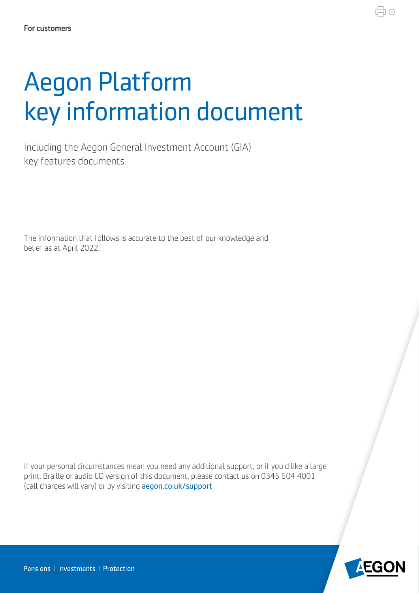# Aegon Platform key information document

Including the Aegon General Investment Account (GIA) key features documents.

The information that follows is accurate to the best of our knowledge and belief as at April 2022.

If your personal circumstances mean you need any additional support, or if you'd like a large print, Braille or audio CD version of this document, please contact us on 0345 604 4001 (call charges will vary) or by visiting [aegon.co.uk/support](http://aegon.co.uk/support) 



量⊙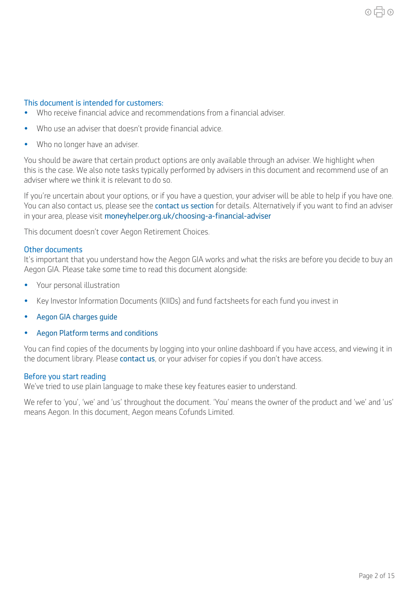#### This document is intended for customers:

- Who receive fnancial advice and recommendations from a fnancial adviser.
- Who use an adviser that doesn't provide fnancial advice.
- Who no longer have an adviser.

You should be aware that certain product options are only available through an adviser. We highlight when this is the case. We also note tasks typically performed by advisers in this document and recommend use of an adviser where we think it is relevant to do so.

If you're uncertain about your options, or if you have a question, your adviser will be able to help if you have one. You can also contact us, please see the [contact us section](#page-6-0) for details. Alternatively if you want to find an adviser in your area, please visit [moneyhelper.org.uk/choosing-a-fnancial-adviser](https://www.moneyhelper.org.uk/choosing-a-financial-adviser)

This document doesn't cover Aegon Retirement Choices.

#### Other documents

It's important that you understand how the Aegon GIA works and what the risks are before you decide to buy an Aegon GIA. Please take some time to read this document alongside:

- Your personal illustration
- Key Investor Information Documents (KIIDs) and fund factsheets for each fund you invest in
- [Aegon GIA charges guide](https://customerdashboard.aegon.co.uk/content/dam/documents/aegon-isa-gia-charges-guide.pdf )
- [Aegon Platform terms and conditions](https://intermediary.aegon.co.uk/content/dam/common/documents/aegon-platform-terms-and-conditions.pdf)

You can find copies of the documents by logging into your online dashboard if you have access, and viewing it in the document library. Please [contact us](https://customerdashboard.aegon.co.uk/content/help-and-support.html?tab=customer-services), or your adviser for copies if you don't have access.

#### Before you start reading

We've tried to use plain language to make these key features easier to understand.

We refer to 'you', 'we' and 'us' throughout the document. 'You' means the owner of the product and 'we' and 'us' means Aegon. In this document, Aegon means Cofunds Limited.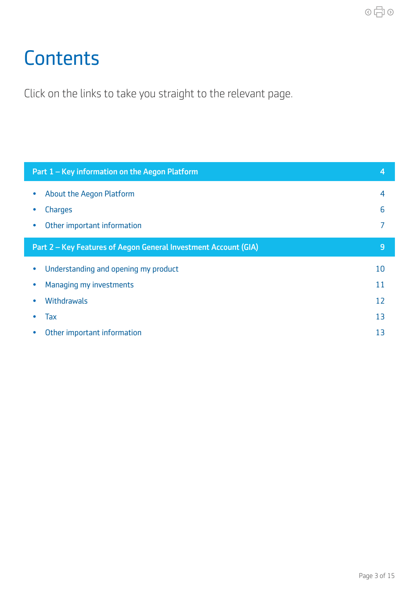## <span id="page-2-0"></span>**Contents**

Click on the links to take you straight to the relevant page.

|           | Part 1 – Key information on the Aegon Platform                  | $\overline{4}$ |
|-----------|-----------------------------------------------------------------|----------------|
| $\bullet$ | About the Aegon Platform                                        | 4              |
|           | Charges                                                         | 6              |
| $\bullet$ | Other important information                                     | 7              |
|           | Part 2 – Key Features of Aegon General Investment Account (GIA) | 9              |
| $\bullet$ | Understanding and opening my product                            | 10             |
| $\bullet$ | Managing my investments                                         | 11             |
| $\bullet$ | Withdrawals                                                     | 12             |
|           | Tax                                                             | 13             |
|           | Other important information                                     | 13             |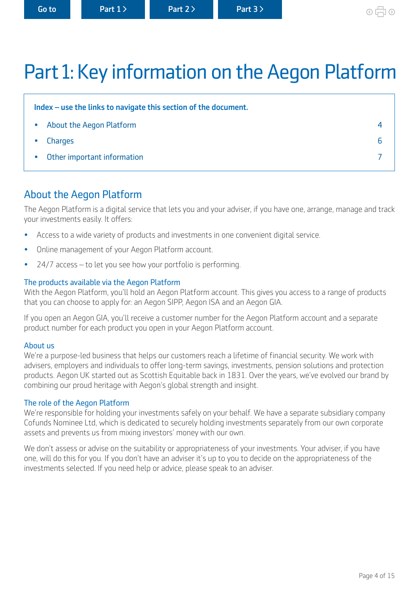## <span id="page-3-0"></span>Part 1: Key information on the Aegon Platform

| Index – use the links to navigate this section of the document. |  |  |
|-----------------------------------------------------------------|--|--|
| About the Aegon Platform<br>$\bullet$                           |  |  |
| Charges<br>$\bullet$                                            |  |  |
| • Other important information                                   |  |  |

## About the Aegon Platform

The Aegon Platform is a digital service that lets you and your adviser, if you have one, arrange, manage and track your investments easily. It offers:

- Access to a wide variety of products and investments in one convenient digital service.
- Online management of your Aegon Platform account.
- 24/7 access to let you see how your portfolio is performing.

#### The products available via the Aegon Platform

With the Aegon Platform, you'll hold an Aegon Platform account. This gives you access to a range of products that you can choose to apply for: an Aegon SIPP, Aegon ISA and an Aegon GIA.

If you open an Aegon GIA, you'll receive a customer number for the Aegon Platform account and a separate product number for each product you open in your Aegon Platform account.

#### About us

We're a purpose-led business that helps our customers reach a lifetime of financial security. We work with advisers, employers and individuals to offer long-term savings, investments, pension solutions and protection products. Aegon UK started out as Scottish Equitable back in 1831. Over the years, we've evolved our brand by combining our proud heritage with Aegon's global strength and insight.

#### The role of the Aegon Platform

We're responsible for holding your investments safely on your behalf. We have a separate subsidiary company Cofunds Nominee Ltd, which is dedicated to securely holding investments separately from our own corporate assets and prevents us from mixing investors' money with our own.

We don't assess or advise on the suitability or appropriateness of your investments. Your adviser, if you have one, will do this for you. If you don't have an adviser it's up to you to decide on the appropriateness of the investments selected. If you need help or advice, please speak to an adviser.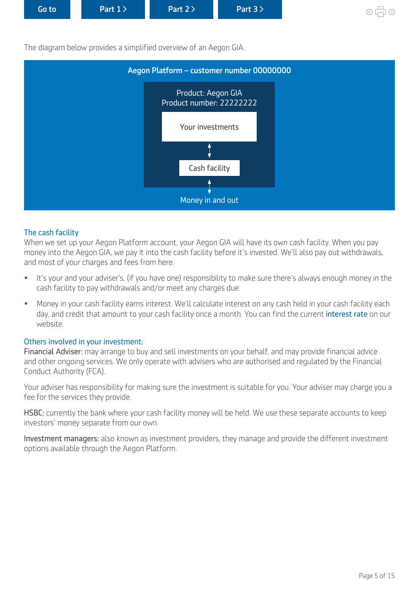<span id="page-4-0"></span>

| Go to | Part $1$ | Part $2$ | Part $3$ |
|-------|----------|----------|----------|
|       |          |          |          |

The diagram below provides a simplified overview of an Aegon GIA.



#### The cash facility

When we set up your Aegon Platform account, your Aegon GIA will have its own cash facility. When you pay money into the Aegon GIA, we pay it into the cash facility before it's invested. We'll also pay out withdrawals, and most of your charges and fees from here.

- It's your and your adviser's, (if you have one) responsibility to make sure there's always enough money in the cash facility to pay withdrawals and/or meet any charges due.
- Money in your cash facility earns interest. We'll calculate interest on any cash held in your cash facility each day, and credit that amount to your cash facility once a month. You can find the current [interest rate](https://customerdashboard.aegon.co.uk/content/guides/guide-to-gias.html#The-cash-facility) on our website.

#### Others involved in your investment:

Financial Adviser: may arrange to buy and sell investments on your behalf, and may provide financial advice and other ongoing services. We only operate with advisers who are authorised and regulated by the Financial Conduct Authority (FCA).

Your adviser has responsibility for making sure the investment is suitable for you. Your adviser may charge you a fee for the services they provide.

HSBC: currently the bank where your cash facility money will be held. We use these separate accounts to keep investors' money separate from our own.

Investment managers: also known as investment providers, they manage and provide the diferent investment options available through the Aegon Platform.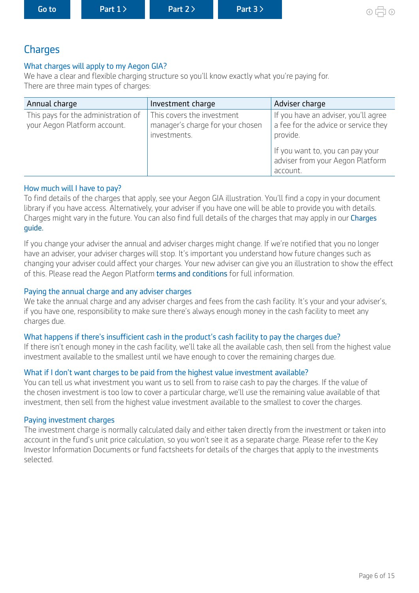<span id="page-5-0"></span>

| Goto<br>Part $1$ $>$ | Part $2$ | Part 3 | $\odot$ 1 |
|----------------------|----------|--------|-----------|
|----------------------|----------|--------|-----------|

## **Charges**

#### What charges will apply to my Aegon GIA?

We have a clear and flexible charging structure so you'll know exactly what you're paying for. There are three main types of charges:

| Annual charge                                                       | Investment charge                                                              | Adviser charge                                                                           |
|---------------------------------------------------------------------|--------------------------------------------------------------------------------|------------------------------------------------------------------------------------------|
| This pays for the administration of<br>your Aegon Platform account. | This covers the investment<br>manager's charge for your chosen<br>investments. | If you have an adviser, you'll agree<br>a fee for the advice or service they<br>provide. |
|                                                                     |                                                                                | If you want to, you can pay your<br>adviser from your Aegon Platform<br>account.         |

#### How much will I have to pay?

To find details of the charges that apply, see your Aegon GIA illustration. You'll find a copy in your document library if you have access. Alternatively, your adviser if you have one will be able to provide you with details. [Charges](https://customerdashboard.aegon.co.uk/content/dam/documents/aegon-isa-gia-charges-guide.pdf) might vary in the future. You can also find full details of the charges that may apply in our Charges [guide.](https://customerdashboard.aegon.co.uk/content/dam/documents/aegon-isa-gia-charges-guide.pdf) 

If you change your adviser the annual and adviser charges might change. If we're notifed that you no longer have an adviser, your adviser charges will stop. It's important you understand how future changes such as changing your adviser could afect your charges. Your new adviser can give you an illustration to show the efect of this. Please read the Aegon Platform [terms and conditions](https://customerdashboard.aegon.co.uk/content/dam/documents/aegon-platform-terms-and-conditions.pdf) for full information.

#### Paying the annual charge and any adviser charges

We take the annual charge and any adviser charges and fees from the cash facility. It's your and your adviser's, if you have one, responsibility to make sure there's always enough money in the cash facility to meet any charges due.

#### What happens if there's insufficient cash in the product's cash facility to pay the charges due?

If there isn't enough money in the cash facility, we'll take all the available cash, then sell from the highest value investment available to the smallest until we have enough to cover the remaining charges due.

#### What if I don't want charges to be paid from the highest value investment available?

You can tell us what investment you want us to sell from to raise cash to pay the charges. If the value of the chosen investment is too low to cover a particular charge, we'll use the remaining value available of that investment, then sell from the highest value investment available to the smallest to cover the charges.

#### Paying investment charges

The investment charge is normally calculated daily and either taken directly from the investment or taken into account in the fund's unit price calculation, so you won't see it as a separate charge. Please refer to the Key Investor Information Documents or fund factsheets for details of the charges that apply to the investments selected.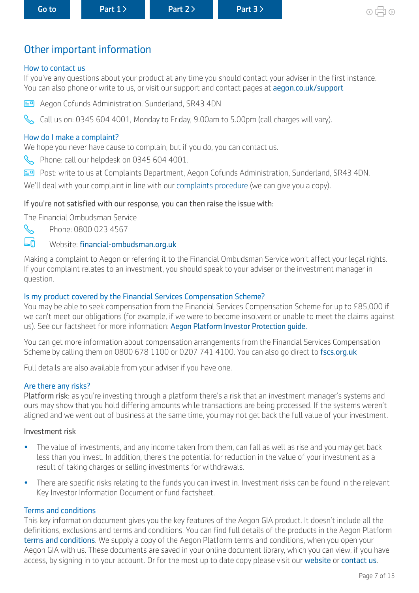## <span id="page-6-0"></span>Other important information

#### How to contact us

If you've any questions about your product at any time you should contact your adviser in the first instance. You can also phone or write to us, or visit our support and contact pages at [aegon.co.uk/support](http://aegon.co.uk/support)

Aegon Cofunds Administration. Sunderland, SR43 4DN

Call us on: 0345 604 4001, Monday to Friday, 9.00am to 5.00pm (call charges will vary).

#### How do I make a complaint?

We hope you never have cause to complain, but if you do, you can contact us.

- Phone: call our helpdesk on 0345 604 4001.
- Post: write to us at Complaints Department, Aegon Cofunds Administration, Sunderland, SR43 4DN.

We'll deal with your complaint in line with our [complaints procedure](https://customerdashboard.aegon.co.uk/content/dam/documents/aegon-complaints-procedure.pdf) (we can give you a copy).

#### If you're not satisfed with our response, you can then raise the issue with:

The Financial Ombudsman Service



Phone: 0800 023 4567

#### Eñ Website: financial-ombudsman.org.uk

Making a complaint to Aegon or referring it to the Financial Ombudsman Service won't affect your legal rights. If your complaint relates to an investment, you should speak to your adviser or the investment manager in question.

#### Is my product covered by the Financial Services Compensation Scheme?

You may be able to seek compensation from the Financial Services Compensation Scheme for up to £85,000 if we can't meet our obligations (for example, if we were to become insolvent or unable to meet the claims against us). See our factsheet for more information: [Aegon Platform Investor Protection guide.](https://www.cofunds.aegon.co.uk/content/dam/common/documents/aegon-platform-investor-protection.pdf ) 

You can get more information about compensation arrangements from the Financial Services Compensation Scheme by calling them on 0800 678 1100 or 0207 741 4100. You can also go direct to [fscs.org.uk](http://fscs.org.uk)

Full details are also available from your adviser if you have one.

#### Are there any risks?

Platform risk: as you're investing through a platform there's a risk that an investment manager's systems and ours may show that you hold difering amounts while transactions are being processed. If the systems weren't aligned and we went out of business at the same time, you may not get back the full value of your investment.

#### Investment risk

- The value of investments, and any income taken from them, can fall as well as rise and you may get back less than you invest. In addition, there's the potential for reduction in the value of your investment as a result of taking charges or selling investments for withdrawals.
- There are specific risks relating to the funds you can invest in. Investment risks can be found in the relevant Key Investor Information Document or fund factsheet.

#### Terms and conditions

This key information document gives you the key features of the Aegon GIA product. It doesn't include all the definitions, exclusions and terms and conditions. You can find full details of the products in the Aegon Platform [terms and conditions](https://customerdashboard.aegon.co.uk/content/dam/documents/aegon-platform-terms-and-conditions.pdf). We supply a copy of the Aegon Platform terms and conditions, when you open your Aegon GIA with us. These documents are saved in your online document library, which you can view, if you have access, by signing in to your account. Or for the most up to date copy please visit our [website](https://www.cofunds.aegon.co.uk/index.html) or [contact us](https://customerdashboard.aegon.co.uk/content/help-and-support.html?tab=customer-services).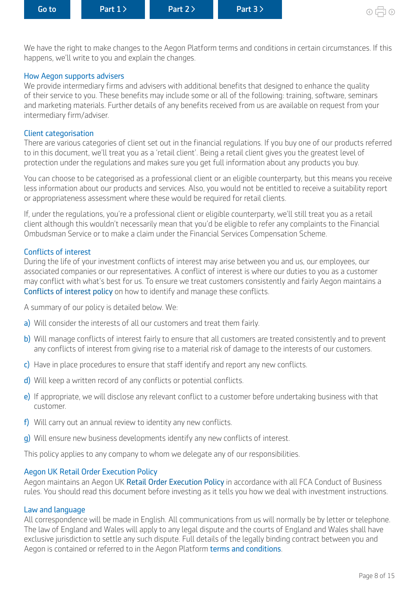We have the right to make changes to the Aegon Platform terms and conditions in certain circumstances. If this happens, we'll write to you and explain the changes.

#### How Aegon supports advisers

We provide intermediary firms and advisers with additional benefits that designed to enhance the quality of their service to you. These benefits may include some or all of the following: training, software, seminars and marketing materials. Further details of any benefits received from us are available on request from your intermediary firm/adviser.

#### Client categorisation

There are various categories of client set out in the financial regulations. If you buy one of our products referred to in this document, we'll treat you as a 'retail client'. Being a retail client gives you the greatest level of protection under the regulations and makes sure you get full information about any products you buy.

You can choose to be categorised as a professional client or an eligible counterparty, but this means you receive less information about our products and services. Also, you would not be entitled to receive a suitability report or appropriateness assessment where these would be required for retail clients.

If, under the regulations, you're a professional client or eligible counterparty, we'll still treat you as a retail client although this wouldn't necessarily mean that you'd be eligible to refer any complaints to the Financial Ombudsman Service or to make a claim under the Financial Services Compensation Scheme.

#### Conficts of interest

During the life of your investment conficts of interest may arise between you and us, our employees, our associated companies or our representatives. A confict of interest is where our duties to you as a customer may confict with what's best for us. To ensure we treat customers consistently and fairly Aegon maintains a [Conflicts of interest policy](https://www.aegon.co.uk/content/dam/ukpaw/documents/conflicts-of-interest-policy.pdf) on how to identify and manage these conficts.

A summary of our policy is detailed below. We:

- a) Will consider the interests of all our customers and treat them fairly.
- b) Will manage conflicts of interest fairly to ensure that all customers are treated consistently and to prevent any conflicts of interest from giving rise to a material risk of damage to the interests of our customers.
- c) Have in place procedures to ensure that staff identify and report any new conflicts.
- d) Will keep a written record of any conflicts or potential conflicts.
- e) If appropriate, we will disclose any relevant conflict to a customer before undertaking business with that customer.
- f) Will carry out an annual review to identity any new conflicts.
- g) Will ensure new business developments identify any new conflicts of interest.

This policy applies to any company to whom we delegate any of our responsibilities.

#### Aegon UK Retail Order Execution Policy

Aegon maintains an Aegon UK [Retail Order Execution Policy](https://www.aegon.co.uk/content/dam/ukpaw/documents/order-execution-policy-arc-or.pdf) in accordance with all FCA Conduct of Business rules. You should read this document before investing as it tells you how we deal with investment instructions.

#### Law and language

All correspondence will be made in English. All communications from us will normally be by letter or telephone. The law of England and Wales will apply to any legal dispute and the courts of England and Wales shall have exclusive jurisdiction to settle any such dispute. Full details of the legally binding contract between you and Aegon is contained or referred to in the Aegon Platform [terms and conditions](https://intermediary.aegon.co.uk/content/dam/common/documents/aegon-platform-terms-and-conditions.pdf).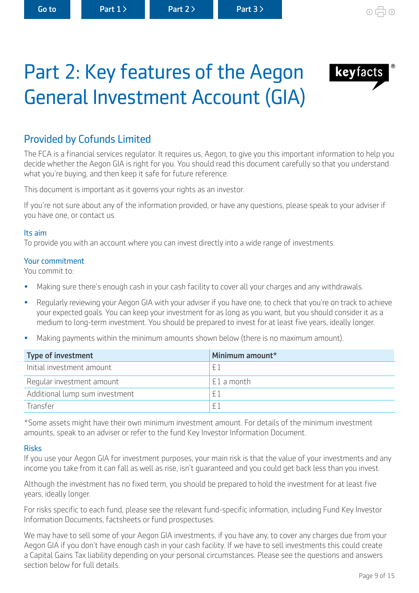<span id="page-8-0"></span>Part 2: Key features of the Aegon

General Investment Account (GIA)

keyfacts

## Provided by Cofunds Limited

The FCA is a financial services regulator. It reguires us, Aegon, to give you this important information to help you decide whether the Aegon GIA is right for you. You should read this document carefully so that you understand what you're buying, and then keep it safe for future reference.

This document is important as it governs your rights as an investor.

If you're not sure about any of the information provided, or have any questions, please speak to your adviser if you have one, or contact us.

#### Its aim

To provide you with an account where you can invest directly into a wide range of investments.

#### Your commitment

You commit to:

- Making sure there's enough cash in your cash facility to cover all your charges and any withdrawals.
- Regularly reviewing your Aegon GIA with your adviser if you have one, to check that you're on track to achieve your expected goals. You can keep your investment for as long as you want, but you should consider it as a medium to long-term investment. You should be prepared to invest for at least five vears, ideally longer.
- Making payments within the minimum amounts shown below (there is no maximum amount).

| <b>Type of investment</b>      | Minimum amount* |
|--------------------------------|-----------------|
| Initial investment amount      | f1              |
| Regular investment amount      | ' £1 a month    |
| Additional lump sum investment | f               |
| Transfer                       | F <sup>1</sup>  |

\*Some assets might have their own minimum investment amount. For details of the minimum investment amounts, speak to an adviser or refer to the fund Key Investor Information Document.

#### Risks

If you use your Aegon GIA for investment purposes, your main risk is that the value of your investments and any income you take from it can fall as well as rise, isn't guaranteed and you could get back less than you invest.

Although the investment has no fixed term, you should be prepared to hold the investment for at least five years, ideally longer.

For risks specific to each fund, please see the relevant fund-specific information, including Fund Key Investor Information Documents, factsheets or fund prospectuses.

We may have to sell some of your Aegon GIA investments, if you have any, to cover any charges due from your Aegon GIA if you don't have enough cash in your cash facility. If we have to sell investments this could create a Capital Gains Tax liability depending on your personal circumstances. Please see the questions and answers section below for full details.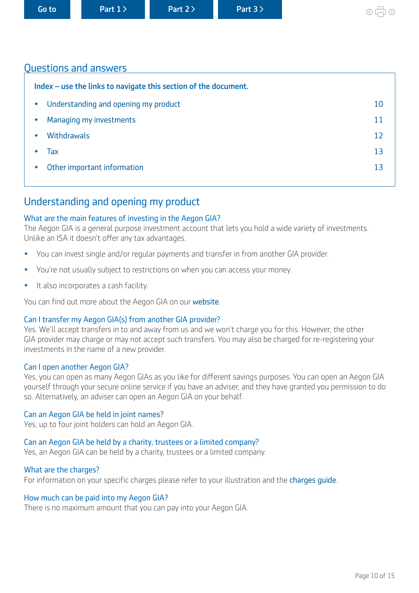<span id="page-9-0"></span>

|  | Go to |  |
|--|-------|--|
|  |       |  |

## Questions and answers

| Index - use the links to navigate this section of the document. |    |  |
|-----------------------------------------------------------------|----|--|
| Understanding and opening my product<br>$\bullet$               | 10 |  |
| Managing my investments<br>$\bullet$                            | 11 |  |
| <b>Withdrawals</b><br>$\bullet$                                 | 12 |  |
| Tax                                                             | 13 |  |
| Other important information<br>$\bullet$                        | 13 |  |
|                                                                 |    |  |

## Understanding and opening my product

#### What are the main features of investing in the Aegon GIA?

The Aegon GIA is a general purpose investment account that lets you hold a wide variety of investments. Unlike an ISA it doesn't offer any tax advantages.

- You can invest single and/or regular payments and transfer in from another GIA provider.
- You're not usually subject to restrictions on when you can access your money.
- It also incorporates a cash facility.

You can find out more about the Aegon GIA on our [website](https://customerdashboard.aegon.co.uk/content/guides/guide-to-gias.html).

#### Can I transfer my Aegon GIA(s) from another GIA provider?

Yes. We'll accept transfers in to and away from us and we won't charge you for this. However, the other GIA provider may charge or may not accept such transfers. You may also be charged for re-registering your investments in the name of a new provider.

#### Can I open another Aegon GIA?

Yes, you can open as many Aegon GIAs as you like for diferent savings purposes. You can open an Aegon GIA yourself through your secure online service if you have an adviser, and they have granted you permission to do so. Alternatively, an adviser can open an Aegon GIA on your behalf.

#### Can an Aegon GIA be held in joint names?

Yes, up to four joint holders can hold an Aegon GIA.

#### Can an Aegon GIA be held by a charity, trustees or a limited company?

Yes, an Aegon GIA can be held by a charity, trustees or a limited company.

#### What are the charges?

For information on your specific charges please refer to your illustration and the charges quide.

#### How much can be paid into my Aegon GIA?

There is no maximum amount that you can pay into your Aegon GIA.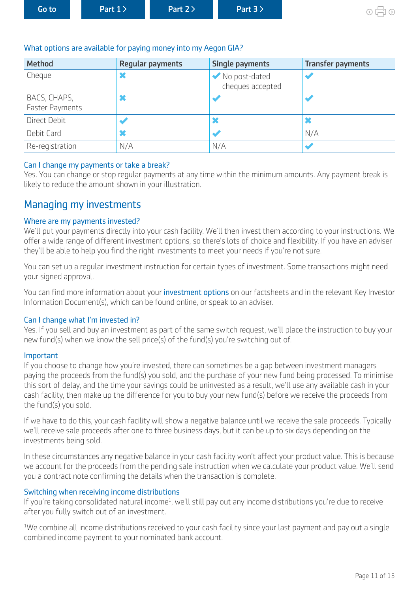<span id="page-10-0"></span>

| Go to <b>l</b><br>$\blacksquare$ Part 3 $\triangleright$<br>Part $1$<br>Part 2> |
|---------------------------------------------------------------------------------|
|---------------------------------------------------------------------------------|

### What options are available for paying money into my Aegon GIA?

| <b>Method</b>                          | <b>Regular payments</b> | <b>Single payments</b>            | <b>Transfer payments</b> |
|----------------------------------------|-------------------------|-----------------------------------|--------------------------|
| Cheque                                 |                         | No post-dated<br>cheques accepted |                          |
| BACS, CHAPS,<br><b>Faster Payments</b> |                         |                                   |                          |
| Direct Debit                           |                         | ×                                 |                          |
| Debit Card                             |                         |                                   | N/A                      |
| Re-registration                        | N/A                     | N/A                               |                          |

## Can I change my payments or take a break?

Yes. You can change or stop regular payments at any time within the minimum amounts. Any payment break is likely to reduce the amount shown in your illustration.

## Managing my investments

## Where are my payments invested?

We'll put your payments directly into your cash facility. We'll then invest them according to your instructions. We offer a wide range of different investment options, so there's lots of choice and flexibility. If you have an adviser they'll be able to help you find the right investments to meet your needs if you're not sure.

You can set up a regular investment instruction for certain types of investment. Some transactions might need your signed approval.

You can find more information about your [investment options](https://www.aegon.co.uk/investments/customers.html) on our factsheets and in the relevant Key Investor Information Document(s), which can be found online, or speak to an adviser.

#### Can I change what I'm invested in?

Yes. If you sell and buy an investment as part of the same switch request, we'll place the instruction to buy your new fund(s) when we know the sell price(s) of the fund(s) you're switching out of.

#### Important

If you choose to change how you're invested, there can sometimes be a gap between investment managers paying the proceeds from the fund(s) you sold, and the purchase of your new fund being processed. To minimise this sort of delay, and the time your savings could be uninvested as a result, we'll use any available cash in your cash facility, then make up the diference for you to buy your new fund(s) before we receive the proceeds from the fund(s) you sold.

If we have to do this, your cash facility will show a negative balance until we receive the sale proceeds. Typically we'll receive sale proceeds after one to three business days, but it can be up to six days depending on the investments being sold.

In these circumstances any negative balance in your cash facility won't affect your product value. This is because we account for the proceeds from the pending sale instruction when we calculate your product value. We'll send you a contract note confirming the details when the transaction is complete.

## Switching when receiving income distributions

If you're taking consolidated natural income<sup>1</sup>, we'll still pay out any income distributions you're due to receive after you fully switch out of an investment.

<sup>1</sup>We combine all income distributions received to your cash facility since your last payment and pay out a single combined income payment to your nominated bank account.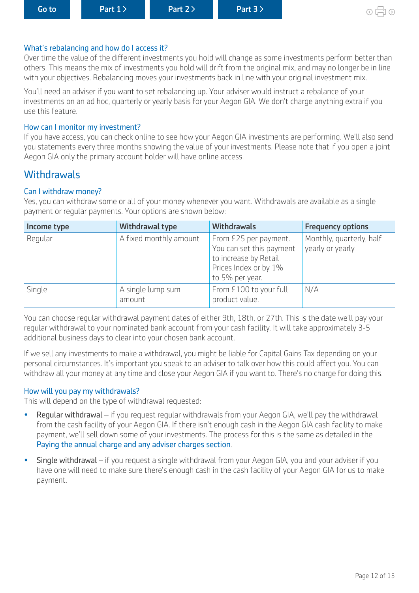#### <span id="page-11-0"></span>What's rebalancing and how do I access it?

Over time the value of the diferent investments you hold will change as some investments perform better than others. This means the mix of investments you hold will drift from the original mix, and may no longer be in line with your objectives. Rebalancing moves your investments back in line with your original investment mix.

You'll need an adviser if you want to set rebalancing up. Your adviser would instruct a rebalance of your investments on an ad hoc, quarterly or yearly basis for your Aegon GIA. We don't charge anything extra if you use this feature.

#### How can I monitor my investment?

If you have access, you can check online to see how your Aegon GIA investments are performing. We'll also send you statements every three months showing the value of your investments. Please note that if you open a joint Aegon GIA only the primary account holder will have online access.

## **Withdrawals**

#### Can I withdraw money?

Yes, you can withdraw some or all of your money whenever you want. Withdrawals are available as a single payment or regular payments. Your options are shown below:

| Income type | Withdrawal type             | <b>Withdrawals</b>                                                                                                     | <b>Frequency options</b>                     |
|-------------|-----------------------------|------------------------------------------------------------------------------------------------------------------------|----------------------------------------------|
| Regular     | A fixed monthly amount      | From £25 per payment.<br>You can set this payment<br>to increase by Retail<br>Prices Index or by 1%<br>to 5% per year. | Monthly, quarterly, half<br>yearly or yearly |
| Single      | A single lump sum<br>amount | From £100 to your full<br>product value.                                                                               | N/A                                          |

You can choose regular withdrawal payment dates of either 9th, 18th, or 27th. This is the date we'll pay your regular withdrawal to your nominated bank account from your cash facility. It will take approximately 3-5 additional business days to clear into your chosen bank account.

If we sell any investments to make a withdrawal, you might be liable for Capital Gains Tax depending on your personal circumstances. It's important you speak to an adviser to talk over how this could afect you. You can withdraw all your money at any time and close your Aegon GIA if you want to. There's no charge for doing this.

#### How will you pay my withdrawals?

This will depend on the type of withdrawal requested:

- Regular withdrawal if you request regular withdrawals from your Aegon GIA, we'll pay the withdrawal from the cash facility of your Aegon GIA. If there isn't enough cash in the Aegon GIA cash facility to make payment, we'll sell down some of your investments. The process for this is the same as detailed in the [Paying the annual charge and any adviser charges section](#page-5-0).
- Single withdrawal if you request a single withdrawal from your Aegon GIA, you and your adviser if you have one will need to make sure there's enough cash in the cash facility of your Aegon GIA for us to make payment.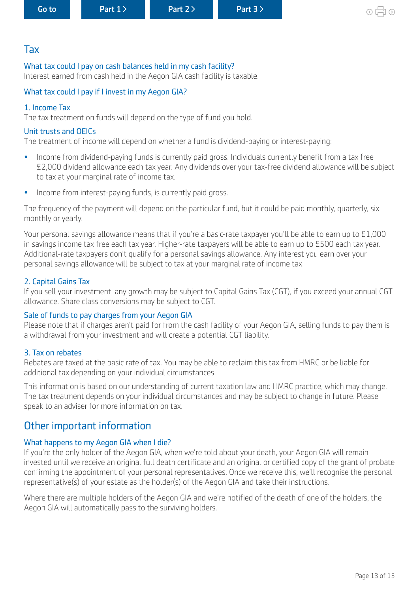## <span id="page-12-0"></span>Tax

#### What tax could I pay on cash balances held in my cash facility?

Interest earned from cash held in the Aegon GIA cash facility is taxable.

#### What tax could I pay if I invest in my Aegon GIA?

#### 1. Income Tax

The tax treatment on funds will depend on the type of fund you hold.

#### Unit trusts and OEICs

The treatment of income will depend on whether a fund is dividend-paying or interest-paying:

- Income from dividend-paying funds is currently paid gross. Individuals currently benefit from a tax free £2,000 dividend allowance each tax year. Any dividends over your tax-free dividend allowance will be subject to tax at your marginal rate of income tax.
- Income from interest-paying funds, is currently paid gross.

The frequency of the payment will depend on the particular fund, but it could be paid monthly, quarterly, six monthly or yearly.

Your personal savings allowance means that if you're a basic-rate taxpayer you'll be able to earn up to £1,000 in savings income tax free each tax year. Higher-rate taxpayers will be able to earn up to £500 each tax year. Additional-rate taxpayers don't qualify for a personal savings allowance. Any interest you earn over your personal savings allowance will be subject to tax at your marginal rate of income tax.

#### 2. Capital Gains Tax

If you sell your investment, any growth may be subject to Capital Gains Tax (CGT), if you exceed your annual CGT allowance. Share class conversions may be subject to CGT.

#### Sale of funds to pay charges from your Aegon GIA

Please note that if charges aren't paid for from the cash facility of your Aegon GIA, selling funds to pay them is a withdrawal from your investment and will create a potential CGT liability.

#### 3. Tax on rebates

Rebates are taxed at the basic rate of tax. You may be able to reclaim this tax from HMRC or be liable for additional tax depending on your individual circumstances.

This information is based on our understanding of current taxation law and HMRC practice, which may change. The tax treatment depends on your individual circumstances and may be subject to change in future. Please speak to an adviser for more information on tax.

## Other important information

#### What happens to my Aegon GIA when I die?

If you're the only holder of the Aegon GIA, when we're told about your death, your Aegon GIA will remain invested until we receive an original full death certificate and an original or certified copy of the grant of probate confrming the appointment of your personal representatives. Once we receive this, we'll recognise the personal representative(s) of your estate as the holder(s) of the Aegon GIA and take their instructions.

Where there are multiple holders of the Aegon GIA and we're notified of the death of one of the holders, the Aegon GIA will automatically pass to the surviving holders.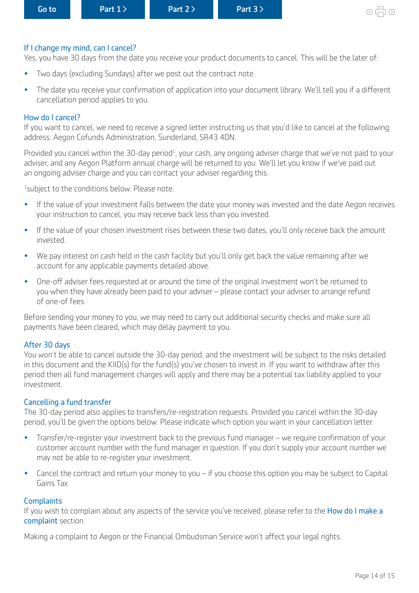#### If I change my mind, can I cancel?

Yes, you have 30 days from the date you receive your product documents to cancel. This will be the later of:

- Two days (excluding Sundays) after we post out the contract note.
- The date you receive your confrmation of application into your document library. We'll tell you if a diferent cancellation period applies to you.

#### How do I cancel?

If you want to cancel, we need to receive a signed letter instructing us that you'd like to cancel at the following address: Aegon Cofunds Administration, Sunderland, SR43 4DN.

Provided you cancel within the 30-day period<sup>1</sup>, your cash, any ongoing adviser charge that we've not paid to your adviser, and any Aegon Platform annual charge will be returned to you. We'll let you know if we've paid out an ongoing adviser charge and you can contact your adviser regarding this.

<sup>1</sup> subject to the conditions below. Please note:

- If the value of your investment falls between the date your money was invested and the date Aegon receives your instruction to cancel, you may receive back less than you invested.
- If the value of your chosen investment rises between these two dates, you'll only receive back the amount invested.
- We pay interest on cash held in the cash facility but you'll only get back the value remaining after we account for any applicable payments detailed above.
- One-off adviser fees requested at or around the time of the original investment won't be returned to you when they have already been paid to your adviser – please contact your adviser to arrange refund of one-of fees.

Before sending your money to you, we may need to carry out additional security checks and make sure all payments have been cleared, which may delay payment to you.

#### After 30 days

You won't be able to cancel outside the 30-day period, and the investment will be subject to the risks detailed in this document and the KIID(s) for the fund(s) you've chosen to invest in. If you want to withdraw after this period then all fund management charges will apply and there may be a potential tax liability applied to your investment.

#### Cancelling a fund transfer

The 30-day period also applies to transfers/re-registration requests. Provided you cancel within the 30-day period, you'll be given the options below. Please indicate which option you want in your cancellation letter.

- Transfer/re-register your investment back to the previous fund manager we require confrmation of your customer account number with the fund manager in question. If you don't supply your account number we may not be able to re-register your investment.
- Cancel the contract and return your money to you if you choose this option you may be subject to Capital Gains Tax.

#### **Complaints**

If you wish to complain about any aspects of the service you've received, please refer to the How do I make a [complaint](#page-6-0) section.

Making a complaint to Aegon or the Financial Ombudsman Service won't affect your legal rights.